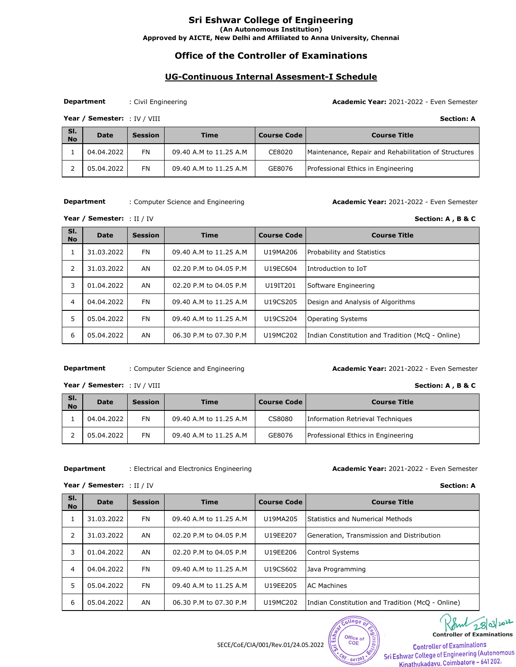# **Office of the Controller of Examinations**

## **UG-Continuous Internal Assesment-I Schedule**

#### **Department**

: Civil Engineering **Academic Year:** 2021-2022 - Even Semester

: IV / VIII **Section: A**  Year / Semester: : IV / VIII

| SI.<br><b>No</b> | <b>Date</b> | <b>Session</b> | Time                   | <b>Course Code</b> | <b>Course Title</b>                                  |
|------------------|-------------|----------------|------------------------|--------------------|------------------------------------------------------|
|                  | 04.04.2022  | FN             | 09.40 A.M to 11.25 A.M | CE8020             | Maintenance, Repair and Rehabilitation of Structures |
|                  | 05.04.2022  | <b>FN</b>      | 09.40 A.M to 11.25 A.M | GE8076             | Professional Ethics in Engineering                   |

**Department**

: Computer Science and Engineering **Academic Year:** 2021-2022 - Even Semester

Year / Semester: : II / IV

| SI.<br><b>No</b> | <b>Date</b> | <b>Session</b> | <b>Time</b>            | <b>Course Code</b> | <b>Course Title</b>                              |
|------------------|-------------|----------------|------------------------|--------------------|--------------------------------------------------|
| ı                | 31.03.2022  | <b>FN</b>      | 09.40 A.M to 11.25 A.M | U19MA206           | <b>Probability and Statistics</b>                |
| 2                | 31.03.2022  | AN             | 02.20 P.M to 04.05 P.M | U19EC604           | Introduction to IoT                              |
| 3                | 01.04.2022  | AN             | 02.20 P.M to 04.05 P.M | U19IT201           | Software Engineering                             |
| 4                | 04.04.2022  | <b>FN</b>      | 09.40 A.M to 11.25 A.M | U19CS205           | Design and Analysis of Algorithms                |
| 5                | 05.04.2022  | <b>FN</b>      | 09.40 A.M to 11.25 A.M | U19CS204           | <b>Operating Systems</b>                         |
| 6                | 05.04.2022  | AN             | 06.30 P.M to 07.30 P.M | U19MC202           | Indian Constitution and Tradition (McQ - Online) |

#### : Computer Science and Engineering **Academic Year:** 2021-2022 - Even Semester **Department**

Year / Semester: : IV / VIII

| SI.<br><b>No</b> | <b>Date</b> | <b>Session</b> | Time                   | <b>Course Code</b> | <b>Course Title</b>                |
|------------------|-------------|----------------|------------------------|--------------------|------------------------------------|
|                  | 04.04.2022  | FN             | 09.40 A.M to 11.25 A.M | CS8080             | Information Retrieval Techniques   |
|                  | 05.04.2022  | <b>FN</b>      | 09.40 A.M to 11.25 A.M | GE8076             | Professional Ethics in Engineering |

### **Department**

Year / Semester: : II / IV

### : Electrical and Electronics Engineering **Academic Year:** 2021-2022 - Even Semester

: II / IV **Section: A** 

| SI.<br><b>No</b> | <b>Date</b> | <b>Session</b> | <b>Time</b>            | <b>Course Code</b> | <b>Course Title</b>                              |  |
|------------------|-------------|----------------|------------------------|--------------------|--------------------------------------------------|--|
| 1                | 31.03.2022  | <b>FN</b>      | 09.40 A.M to 11.25 A.M | U19MA205           | <b>Statistics and Numerical Methods</b>          |  |
| 2                | 31.03.2022  | AN             | 02.20 P.M to 04.05 P.M | U19EE207           | Generation, Transmission and Distribution        |  |
| 3                | 01.04.2022  | AN             | 02.20 P.M to 04.05 P.M | U19EE206           | Control Systems                                  |  |
| 4                | 04.04.2022  | <b>FN</b>      | 09.40 A.M to 11.25 A.M | U19CS602           | Java Programming                                 |  |
| 5                | 05.04.2022  | <b>FN</b>      | 09.40 A.M to 11.25 A.M | U19EE205           | <b>AC Machines</b>                               |  |
| 6                | 05.04.2022  | AN             | 06.30 P.M to 07.30 P.M | U19MC202           | Indian Constitution and Tradition (McQ - Online) |  |



College

641202

28 **Controller of Examinations** 

SECE/CoE/CIA/001/Rev.01/24.05.2022 **Controller of Examinations**<br>Sti Eshwar College of Engineering (Autonomous Kinathukadayu, Coimbatore - 641 202.

**Section: A, B & C** 

**Section: A, B & C**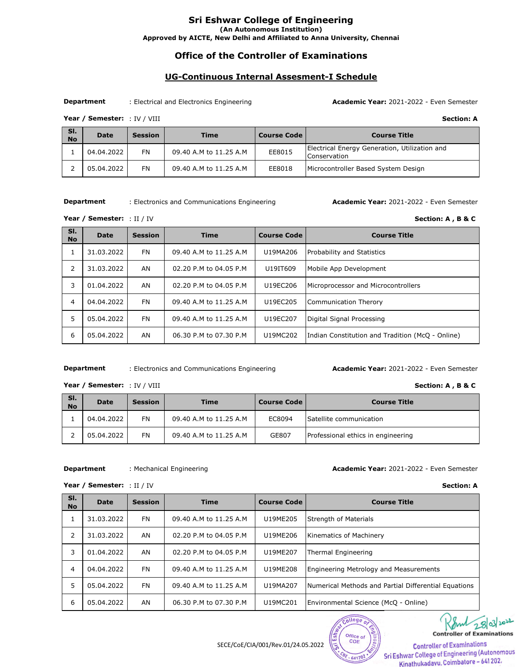# **Office of the Controller of Examinations**

## **UG-Continuous Internal Assesment-I Schedule**

**Department**

: Electrical and Electronics Engineering **Academic Year:** 2021-2022 - Even Semester

: IV / VIII **Section: A** Year / Semester: : IV / VIII

| SI.<br><b>No</b> | <b>Date</b> | <b>Session</b> | <b>Time</b>            | <b>Course Code</b> | <b>Course Title</b>                                           |
|------------------|-------------|----------------|------------------------|--------------------|---------------------------------------------------------------|
|                  | 04.04.2022  | <b>FN</b>      | 09.40 A.M to 11.25 A.M | EE8015             | Electrical Energy Generation, Utilization and<br>Conservation |
|                  | 05.04.2022  | <b>FN</b>      | 09.40 A.M to 11.25 A.M | EE8018             | Microcontroller Based System Design                           |

**Department**

: Electronics and Communications Engineering **Academic Year:** 2021-2022 - Even Semester

**Section: A, B & C** 

**Section: A, B & C** 

Year / Semester: : II / IV

| SI.<br><b>No</b> | <b>Date</b> | <b>Session</b> | <b>Time</b>            | <b>Course Code</b> | <b>Course Title</b>                              |
|------------------|-------------|----------------|------------------------|--------------------|--------------------------------------------------|
|                  | 31.03.2022  | <b>FN</b>      | 09.40 A.M to 11.25 A.M | U19MA206           | Probability and Statistics                       |
| 2                | 31.03.2022  | AN             | 02.20 P.M to 04.05 P.M | U19IT609           | Mobile App Development                           |
| 3                | 01.04.2022  | AN             | 02.20 P.M to 04.05 P.M | U19EC206           | Microprocessor and Microcontrollers              |
| 4                | 04.04.2022  | <b>FN</b>      | 09.40 A.M to 11.25 A.M | U19EC205           | Communication Therory                            |
| 5                | 05.04.2022  | <b>FN</b>      | 09.40 A.M to 11.25 A.M | U19EC207           | Digital Signal Processing                        |
| 6                | 05.04.2022  | AN             | 06.30 P.M to 07.30 P.M | U19MC202           | Indian Constitution and Tradition (McQ - Online) |

#### : Electronics and Communications Engineering **Academic Year:** 2021-2022 - Even Semester **Department**

Year / Semester: : IV / VIII

| SI.<br><b>No</b> | <b>Date</b> | <b>Session</b> | <b>Time</b>            | <b>Course Code</b> | <b>Course Title</b>                |
|------------------|-------------|----------------|------------------------|--------------------|------------------------------------|
|                  | 04.04.2022  | FN             | 09.40 A.M to 11.25 A.M | EC8094             | Satellite communication            |
|                  | 05.04.2022  | <b>FN</b>      | 09.40 A.M to 11.25 A.M | GE807              | Professional ethics in engineering |

#### **Department**

Year / Semester: : II / IV

#### : Mechanical Engineering **Academic Year:** 2021-2022 - Even Semester

college<sub>o</sub>

Office of

641202

: II / IV **Section: A**

| SI.<br><b>No</b> | <b>Date</b> | <b>Session</b> | <b>Time</b>            | <b>Course Code</b> | <b>Course Title</b>                                  |
|------------------|-------------|----------------|------------------------|--------------------|------------------------------------------------------|
| 1                | 31.03.2022  | <b>FN</b>      | 09.40 A.M to 11.25 A.M | U19ME205           | Strength of Materials                                |
| 2                | 31.03.2022  | AN             | 02.20 P.M to 04.05 P.M | U19ME206           | Kinematics of Machinery                              |
| 3                | 01.04.2022  | AN             | 02.20 P.M to 04.05 P.M | U19ME207           | Thermal Engineering                                  |
| 4                | 04.04.2022  | <b>FN</b>      | 09.40 A.M to 11.25 A.M | U19ME208           | <b>Engineering Metrology and Measurements</b>        |
| 5                | 05.04.2022  | <b>FN</b>      | 09.40 A.M to 11.25 A.M | U19MA207           | Numerical Methods and Partial Differential Equations |
| 6                | 05.04.2022  | AN             | 06.30 P.M to 07.30 P.M | U19MC201           | Environmental Science (McQ - Online)                 |

SECE/CoE/CIA/001/Rev.01/24.05.2022 **COE** Controller of Examinations<br>Sri Eshwar College of Engineering (Autonomous Kinathukadayu, Coimbatore - 641 202.

28/03/2022

**Controller of Examinations**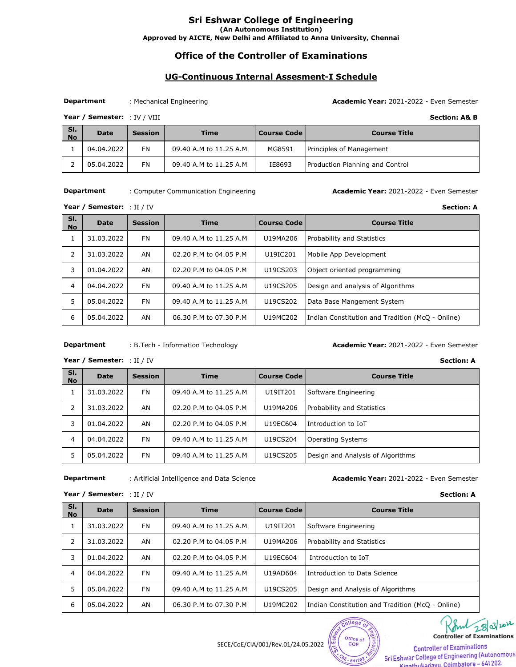# **Office of the Controller of Examinations**

## **UG-Continuous Internal Assesment-I Schedule**

### **Department**

: Mechanical Engineering **Academic Year:** 2021-2022 - Even Semester

Section: A& B

Year / Semester: : IV / VIII

| SI.<br><b>No</b> | <b>Date</b> | <b>Session</b> | <b>Time</b>            | <b>Course Code</b> | <b>Course Title</b>             |
|------------------|-------------|----------------|------------------------|--------------------|---------------------------------|
|                  | 04.04.2022  | FN             | 09.40 A.M to 11.25 A.M | MG8591             | Principles of Management        |
|                  | 05.04.2022  | <b>FN</b>      | 09.40 A.M to 11.25 A.M | IE8693             | Production Planning and Control |

#### **Department**

: Computer Communication Engineering **Academic Year:** 2021-2022 - Even Semester

: II / IV **Section: A** Year / Semester: : II / IV

| SI.<br><b>No</b> | <b>Date</b> | <b>Session</b> | <b>Time</b>            | <b>Course Code</b> | <b>Course Title</b>                              |
|------------------|-------------|----------------|------------------------|--------------------|--------------------------------------------------|
|                  | 31.03.2022  | <b>FN</b>      | 09.40 A.M to 11.25 A.M | U19MA206           | Probability and Statistics                       |
| 2                | 31.03.2022  | AN             | 02.20 P.M to 04.05 P.M | U19IC201           | Mobile App Development                           |
| 3                | 01.04.2022  | AN             | 02.20 P.M to 04.05 P.M | U19CS203           | Object oriented programming                      |
| 4                | 04.04.2022  | <b>FN</b>      | 09.40 A.M to 11.25 A.M | U19CS205           | Design and analysis of Algorithms                |
| 5                | 05.04.2022  | <b>FN</b>      | 09.40 A.M to 11.25 A.M | U19CS202           | Data Base Mangement System                       |
| 6                | 05.04.2022  | AN             | 06.30 P.M to 07.30 P.M | U19MC202           | Indian Constitution and Tradition (McQ - Online) |

#### : B.Tech - Information Technology **Academic Year:** 2021-2022 - Even Semester **Department**

: II / IV **Section: A**  Year / Semester: : II / IV

| SI.<br><b>No</b> | <b>Date</b> | <b>Session</b> | <b>Time</b>            | <b>Course Code</b> | <b>Course Title</b>               |
|------------------|-------------|----------------|------------------------|--------------------|-----------------------------------|
|                  | 31.03.2022  | FN             | 09.40 A.M to 11.25 A.M | U19IT201           | Software Engineering              |
| 2                | 31.03.2022  | AN             | 02.20 P.M to 04.05 P.M | U19MA206           | <b>Probability and Statistics</b> |
| 3                | 01.04.2022  | AN             | 02.20 P.M to 04.05 P.M | U19EC604           | Introduction to IoT               |
| 4                | 04.04.2022  | FN             | 09.40 A.M to 11.25 A.M | U19CS204           | <b>Operating Systems</b>          |
| 5                | 05.04.2022  | FN             | 09.40 A.M to 11.25 A.M | U19CS205           | Design and Analysis of Algorithms |

### **Department**

: Artificial Intelligence and Data Science **Academic Year:** 2021-2022 - Even Semester

| Year / Semester: : II / IV |  |  |
|----------------------------|--|--|
|----------------------------|--|--|

| : II / IV | <b>Section: A</b> |
|-----------|-------------------|
|-----------|-------------------|

| SI.<br><b>No</b> | <b>Date</b> | <b>Session</b> | <b>Time</b>            | <b>Course Code</b> | <b>Course Title</b>                              |
|------------------|-------------|----------------|------------------------|--------------------|--------------------------------------------------|
| 1                | 31.03.2022  | <b>FN</b>      | 09.40 A.M to 11.25 A.M | U19IT201           | Software Engineering                             |
| 2                | 31.03.2022  | AN             | 02.20 P.M to 04.05 P.M | U19MA206           | Probability and Statistics                       |
| 3                | 01.04.2022  | AN             | 02.20 P.M to 04.05 P.M | U19EC604           | Introduction to IoT                              |
| 4                | 04.04.2022  | <b>FN</b>      | 09.40 A.M to 11.25 A.M | U19AD604           | Introduction to Data Science                     |
| 5                | 05.04.2022  | <b>FN</b>      | 09.40 A.M to 11.25 A.M | U19CS205           | Design and Analysis of Algorithms                |
| 6                | 05.04.2022  | AN             | 06.30 P.M to 07.30 P.M | U19MC202           | Indian Constitution and Tradition (McQ - Online) |

 $Co<sub>1</sub>$ 

641202

28/03/2022 **Controller of Examinations** 

SECE/CoE/CIA/001/Rev.01/24.05.2022 **Controller of Examinations**<br>Controller of Examinations<br>Sri Eshwar College of Engineering (Autonomous Kinathukadayu Coimbatore - 641 202.